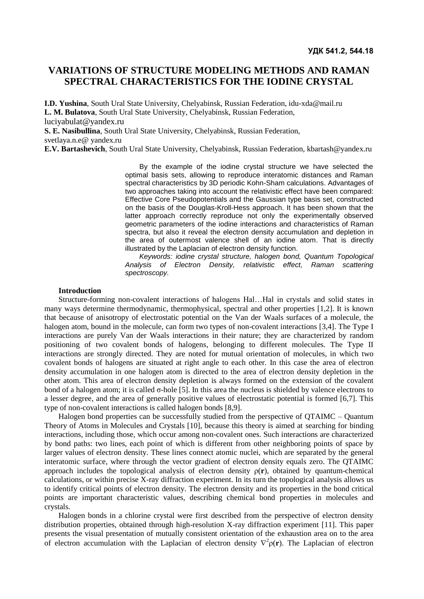# **VARIATIONS OF STRUCTURE MODELING METHODS AND RAMAN SPECTRAL CHARACTERISTICS FOR THE IODINE CRYSTAL**

**I.D. Yushina**, South Ural State University, Chelyabinsk, Russian Federation, idu-xda@mail.ru **L. M. Bulatova**, South Ural State University, Chelyabinsk, Russian Federation, luciyabulat@yandex.ru

**S. E. Nasibullina**, South Ural State University, Chelyabinsk, Russian Federation, svetlaya.n.e@ yandex.ru

**E.V. Bartashevich**, South Ural State University, Chelyabinsk, Russian Federation, kbartash@yandex.ru

By the example of the iodine crystal structure we have selected the optimal basis sets, allowing to reproduce interatomic distances and Raman spectral characteristics by 3D periodic Kohn-Sham calculations. Advantages of two approaches taking into account the relativistic effect have been compared: Effective Core Pseudopotentials and the Gaussian type basis set, constructed on the basis of the Douglas-Kroll-Hess approach. It has been shown that the latter approach correctly reproduce not only the experimentally observed geometric parameters of the iodine interactions and characteristics of Raman spectra, but also it reveal the electron density accumulation and depletion in the area of outermost valence shell of an iodine atom. That is directly illustrated by the Laplacian of electron density function.

*Keywords: iodine crystal structure, halogen bond, Quantum Topological Analysis of Electron Density, relativistic effect, Raman scattering spectroscopy.*

## **Introduction**

Structure-forming non-covalent interactions of halogens Hal…Hal in crystals and solid states in many ways determine thermodynamic, thermophysical, spectral and other properties [1,2]. It is known that because of anisotropy of electrostatic potential on the Van der Waals surfaces of a molecule, the halogen atom, bound in the molecule, can form two types of non-covalent interactions [3,4]. The Type I interactions are purely Van der Waals interactions in their nature; they are characterized by random positioning of two covalent bonds of halogens, belonging to different molecules. The Type II interactions are strongly directed. They are noted for mutual orientation of molecules, in which two covalent bonds of halogens are situated at right angle to each other. In this case the area of electron density accumulation in one halogen atom is directed to the area of electron density depletion in the other atom. This area of electron density depletion is always formed on the extension of the covalent bond of a halogen atom; it is called  $\sigma$ -hole [5]. In this area the nucleus is shielded by valence electrons to a lesser degree, and the area of generally positive values of electrostatic potential is formed [6,7]. This type of non-covalent interactions is called halogen bonds [8,9].

Halogen bond properties can be successfully studied from the perspective of QTAIMC – Quantum Theory of Atoms in Molecules and Crystals [10], because this theory is aimed at searching for binding interactions, including those, which occur among non-covalent ones. Such interactions are characterized by bond paths: two lines, each point of which is different from other neighboring points of space by larger values of electron density. These lines connect atomic nuclei, which are separated by the general interatomic surface, where through the vector gradient of electron density equals zero. The QTAIMC approach includes the topological analysis of electron density  $\rho(\mathbf{r})$ , obtained by quantum-chemical calculations, or within precise X-ray diffraction experiment. In its turn the topological analysis allows us to identify critical points of electron density. The electron density and its properties in the bond critical points are important characteristic values, describing chemical bond properties in molecules and crystals.

Halogen bonds in a chlorine crystal were first described from the perspective of electron density distribution properties, obtained through high-resolution X-ray diffraction experiment [11]. This paper presents the visual presentation of mutually consistent orientation of the exhaustion area on to the area of electron accumulation with the Laplacian of electron density  $\nabla^2 \rho(\mathbf{r})$ . The Laplacian of electron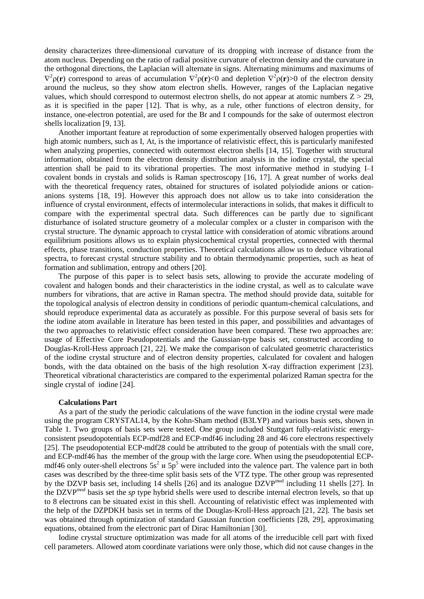density characterizes three-dimensional curvature of its dropping with increase of distance from the atom nucleus. Depending on the ratio of radial positive curvature of electron density and the curvature in the orthogonal directions, the Laplacian will alternate in signs. Alternating minimums and maximums of  $\nabla^2 \rho(\mathbf{r})$  correspond to areas of accumulation  $\nabla^2 \rho(\mathbf{r}) < 0$  and depletion  $\nabla^2 \rho(\mathbf{r}) > 0$  of the electron density around the nucleus, so they show atom electron shells. However, ranges of the Laplacian negative values, which should correspond to outermost electron shells, do not appear at atomic numbers  $Z > 29$ , as it is specified in the paper [12]. That is why, as a rule, other functions of electron density, for instance, one-electron potential, are used for the Br and I compounds for the sake of outermost electron shells localization [9, 13].

Another important feature at reproduction of some experimentally observed halogen properties with high atomic numbers, such as I, At, is the importance of relativistic effect, this is particularly manifested when analyzing properties, connected with outermost electron shells [14, 15]. Together with structural information, obtained from the electron density distribution analysis in the iodine crystal, the special attention shall be paid to its vibrational properties. The most informative method in studying I–I covalent bonds in crystals and solids is Raman spectroscopy [16, 17]. A great number of works deal with the theoretical frequency rates, obtained for structures of isolated polyiodide anions or cationanions systems [18, 19]. However this approach does not allow us to take into consideration the influence of crystal environment, effects of intermolecular interactions in solids, that makes it difficult to compare with the experimental spectral data. Such differences can be partly due to significant disturbance of isolated structure geometry of a molecular complex or a cluster in comparison with the crystal structure. The dynamic approach to crystal lattice with consideration of atomic vibrations around equilibrium positions allows us to explain physicochemical crystal properties, connected with thermal effects, phase transitions, conduction properties. Theoretical calculations allow us to deduce vibrational spectra, to forecast crystal structure stability and to obtain thermodynamic properties, such as heat of formation and sublimation, entropy and others [20].

The purpose of this paper is to select basis sets, allowing to provide the accurate modeling of covalent and halogen bonds and their characteristics in the iodine crystal, as well as to calculate wave numbers for vibrations, that are active in Raman spectra. The method should provide data, suitable for the topological analysis of electron density in conditions of periodic quantum-chemical calculations, and should reproduce experimental data as accurately as possible. For this purpose several of basis sets for the iodine atom available in literature has been tested in this paper, and possibilities and advantages of the two approaches to relativistic effect consideration have been compared. These two approaches are: usage of Effective Core Pseudopotentials and the Gaussian-type basis set, constructed according to Douglas-Kroll-Hess approach [21, 22]. We make the comparison of calculated geometric characteristics of the iodine crystal structure and of electron density properties, calculated for covalent and halogen bonds, with the data obtained on the basis of the high resolution X-ray diffraction experiment [23]. Theoretical vibrational characteristics are compared to the experimental polarized Raman spectra for the single crystal of iodine [24].

#### **Calculations Part**

As a part of the study the periodic calculations of the wave function in the iodine crystal were made using the program CRYSTAL14, by the Kohn-Sham method (B3LYP) and various basis sets, shown in Table 1. Two groups of basis sets were tested. One group included Stuttgart fully-relativistic energyconsistent pseudopotentials ECP-mdf28 and ECP-mdf46 including 28 and 46 core electrons respectively [25]. The pseudopotential ECP-mdf28 could be attributed to the group of potentials with the small core, and ECP-mdf46 has the member of the group with the large core. When using the pseudopotential ECPmdf46 only outer-shell electrons  $5s^2$   $\mu$   $5p^5$  were included into the valence part. The valence part in both cases was described by the three-time split basis sets of the VTZ type. The other group was represented by the DZVP basis set, including 14 shells [26] and its analogue DZVPmod including 11 shells [27]. In the DZVPmod basis set the *sp* type hybrid shells were used to describe internal electron levels, so that up to 8 electrons can be situated exist in this shell. Accounting of relativistic effect was implemented with the help of the DZPDKH basis set in terms of the Douglas-Kroll-Hess approach [21, 22]. The basis set was obtained through optimization of standard Gaussian function coefficients [28, 29], approximating equations, obtained from the electronic part of Dirac Hamiltonian [30].

Iodine crystal structure optimization was made for all atoms of the irreducible cell part with fixed cell parameters. Allowed atom coordinate variations were only those, which did not cause changes in the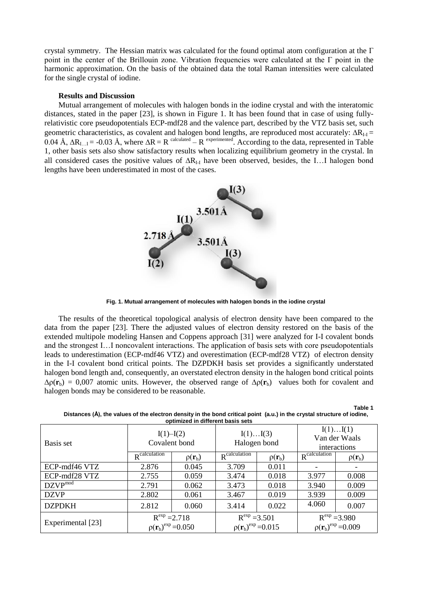crystal symmetry. The Hessian matrix was calculated for the found optimal atom configuration at the Γ point in the center of the Brillouin zone. Vibration frequencies were calculated at the Γ point in the harmonic approximation. On the basis of the obtained data the total Raman intensities were calculated for the single crystal of iodine.

#### **Results and Discussion**

Mutual arrangement of molecules with halogen bonds in the iodine crystal and with the interatomic distances, stated in the paper [23], is shown in Figure 1. It has been found that in case of using fullyrelativistic core pseudopotentials ECP-mdf28 and the valence part, described by the VTZ basis set, such geometric characteristics, as covalent and halogen bond lengths, are reproduced most accurately:  $\Delta R_{II}$  = 0.04 Å,  $\Delta R_{I...I}$  = -0.03 Å, where  $\Delta R = R$  calculated – R experimented. According to the data, represented in Table 1, other basis sets also show satisfactory results when localizing equilibrium geometry in the crystal. In all considered cases the positive values of  $\Delta R$ <sub>I-I</sub> have been observed, besides, the I...I halogen bond lengths have been underestimated in most of the cases.



**Fig. 1. Mutual arrangement of molecules with halogen bonds in the iodine crystal**

The results of the theoretical topological analysis of electron density have been compared to the data from the paper [23]. There the adjusted values of electron density restored on the basis of the extended multipole modeling Hansen and Coppens approach [31] were analyzed for I-I covalent bonds and the strongest I…I noncovalent interactions. The application of basis sets with core pseudopotentials leads to underestimation (ECP-mdf46 VTZ) and overestimation (ECP-mdf28 VTZ) of electron density in the I-I covalent bond critical points. The DZPDKH basis set provides a significantly understated halogen bond length and, consequently, an overstated electron density in the halogen bond critical points  $\Delta \rho(\mathbf{r}_b) = 0.007$  atomic units. However, the observed range of  $\Delta \rho(\mathbf{r}_b)$  values both for covalent and halogen bonds may be considered to be reasonable.

| opumized in different basis sets |                                             |                      |                                             |                      |                                             |                      |  |
|----------------------------------|---------------------------------------------|----------------------|---------------------------------------------|----------------------|---------------------------------------------|----------------------|--|
| Basis set                        | $I(1) - I(2)$<br>Covalent bond              |                      | I(1)I(3)<br>Halogen bond                    |                      | I(1)I(1)<br>Van der Waals<br>interactions   |                      |  |
|                                  | $R^{\overline{\text{calculation}}}$         | $\rho(\mathbf{r}_b)$ | $R^{\text{calculation}}$                    | $\rho(\mathbf{r}_b)$ | $R^{\overline{\text{calculation}}}$         | $\rho(\mathbf{r}_b)$ |  |
| ECP-mdf46 VTZ                    | 2.876                                       | 0.045                | 3.709                                       | 0.011                |                                             |                      |  |
| ECP-mdf28 VTZ                    | 2.755                                       | 0.059                | 3.474                                       | 0.018                | 3.977                                       | 0.008                |  |
| $DZVP^{mod}$                     | 2.791                                       | 0.062                | 3.473                                       | 0.018                | 3.940                                       | 0.009                |  |
| <b>DZVP</b>                      | 2.802                                       | 0.061                | 3.467                                       | 0.019                | 3.939                                       | 0.009                |  |
| <b>DZPDKH</b>                    | 2.812                                       | 0.060                | 3.414                                       | 0.022                | 4.060                                       | 0.007                |  |
| Experimental [23]                | $R^{exp} = 2.718$<br>$p(r_b)^{exp} = 0.050$ |                      | $R^{exp} = 3.501$<br>$p(r_b)^{exp} = 0.015$ |                      | $R^{exp} = 3.980$<br>$p(r_b)^{exp} = 0.009$ |                      |  |

**Distances (Å), the values of the electron density in the bond critical point (a.u.) in the crystal structure of iodine, optimized in different basis sets**

**Table 1**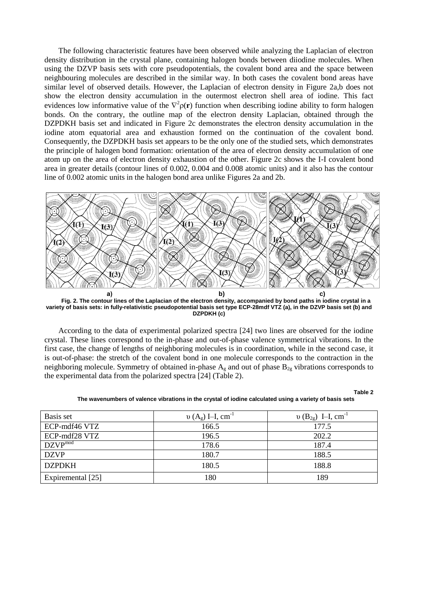The following characteristic features have been observed while analyzing the Laplacian of electron density distribution in the crystal plane, containing halogen bonds between diiodine molecules. When using the DZVP basis sets with core pseudopotentials, the covalent bond area and the space between neighbouring molecules are described in the similar way. In both cases the covalent bond areas have similar level of observed details. However, the Laplacian of electron density in Figure 2a,b does not show the electron density accumulation in the outermost electron shell area of iodine. This fact evidences low informative value of the  $\nabla^2 \rho(\mathbf{r})$  function when describing iodine ability to form halogen bonds. On the contrary, the outline map of the electron density Laplacian, obtained through the DZPDKH basis set and indicated in Figure 2c demonstrates the electron density accumulation in the iodine atom equatorial area and exhaustion formed on the continuation of the covalent bond. Consequently, the DZPDKH basis set appears to be the only one of the studied sets, which demonstrates the principle of halogen bond formation: orientation of the area of electron density accumulation of one atom up on the area of electron density exhaustion of the other. Figure 2c shows the I-I covalent bond area in greater details (contour lines of 0.002, 0.004 and 0.008 atomic units) and it also has the contour line of 0.002 atomic units in the halogen bond area unlike Figures 2a and 2b.



**Fig. 2. The contour lines of the Laplacian of the electron density, accompanied by bond paths in iodine crystal in a variety of basis sets: in fully-relativistic pseudopotential basis set type ECP-28mdf VTZ (a), in the DZVP basis set (b) and DZPDKH (c)**

According to the data of experimental polarized spectra [24] two lines are observed for the iodine crystal. These lines correspond to the in-phase and out-of-phase valence symmetrical vibrations. In the first case, the change of lengths of neighboring molecules is in coordination, while in the second case, it is out-of-phase: the stretch of the covalent bond in one molecule corresponds to the contraction in the neighboring molecule. Symmetry of obtained in-phase  $A_g$  and out of phase  $B_{2g}$  vibrations corresponds to the experimental data from the polarized spectra [24] (Table 2).

**Table 2**

| Basis set         | $v(A_g)$ I–I, cm <sup>-1</sup> | $v(B_{2g})$ I-I, cm <sup>-1</sup> |
|-------------------|--------------------------------|-----------------------------------|
| ECP-mdf46 VTZ     | 166.5                          | 177.5                             |
| ECP-mdf28 VTZ     | 196.5                          | 202.2                             |
| $DZVP^{mod}$      | 178.6                          | 187.4                             |
| <b>DZVP</b>       | 180.7                          | 188.5                             |
| <b>DZPDKH</b>     | 180.5                          | 188.8                             |
| Expiremental [25] | 180                            | 189                               |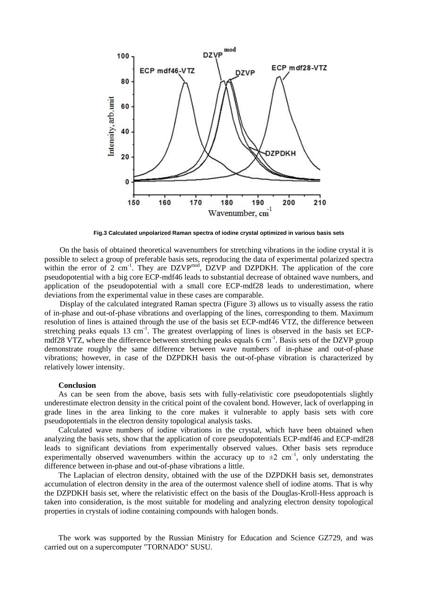

**Fig.3 Calculated unpolarized Raman spectra of iodine crystal optimized in various basis sets**

On the basis of obtained theoretical wavenumbers for stretching vibrations in the iodine crystal it is possible to select a group of preferable basis sets, reproducing the data of experimental polarized spectra within the error of 2  $cm^{-1}$ . They are DZVP<sup>mod</sup>, DZVP and DZPDKH. The application of the core pseudopotential with a big core ECP-mdf46 leads to substantial decrease of obtained wave numbers, and application of the pseudopotential with a small core ECP-mdf28 leads to underestimation, where deviations from the experimental value in these cases are comparable.

Display of the calculated integrated Raman spectra (Figure 3) allows us to visually assess the ratio of in-phase and out-of-phase vibrations and overlapping of the lines, corresponding to them. Maximum resolution of lines is attained through the use of the basis set ECP-mdf46 VTZ, the difference between stretching peaks equals  $13 \text{ cm}^{-1}$ . The greatest overlapping of lines is observed in the basis set ECPmdf28 VTZ, where the difference between stretching peaks equals 6 cm<sup>-1</sup>. Basis sets of the DZVP group demonstrate roughly the same difference between wave numbers of in-phase and out-of-phase vibrations; however, in case of the DZPDKH basis the out-of-phase vibration is characterized by relatively lower intensity.

### **Conclusion**

As can be seen from the above, basis sets with fully-relativistic core pseudopotentials slightly underestimate electron density in the critical point of the covalent bond. However, lack of overlapping in grade lines in the area linking to the core makes it vulnerable to apply basis sets with core pseudopotentials in the electron density topological analysis tasks.

Calculated wave numbers of iodine vibrations in the crystal, which have been obtained when analyzing the basis sets, show that the application of core pseudopotentials ECP-mdf46 and ECP-mdf28 leads to significant deviations from experimentally observed values. Other basis sets reproduce experimentally observed wavenumbers within the accuracy up to  $\pm 2$  cm<sup>-1</sup>, only understating the difference between in-phase and out-of-phase vibrations a little.

The Laplacian of electron density, obtained with the use of the DZPDKH basis set, demonstrates accumulation of electron density in the area of the outermost valence shell of iodine atoms. That is why the DZPDKH basis set, where the relativistic effect on the basis of the Douglas-Kroll-Hess approach is taken into consideration, is the most suitable for modeling and analyzing electron density topological properties in crystals of iodine containing compounds with halogen bonds.

The work was supported by the Russian Ministry for Education and Science GZ729, and was carried out on a supercomputer "TORNADO" SUSU.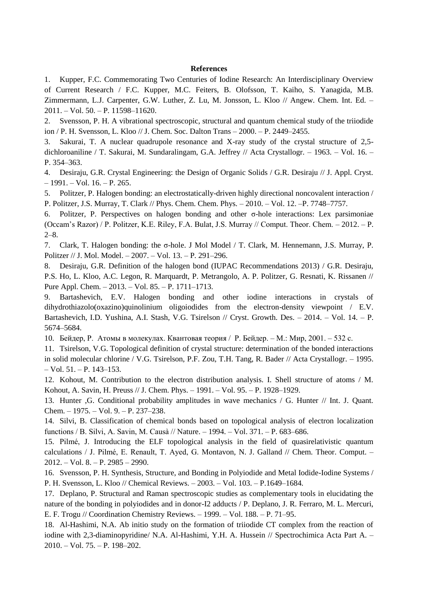## **References**

1. Kupper, F.C. Commemorating Two Centuries of Iodine Research: An Interdisciplinary Overview of Current Research / F.C. Kupper, M.C. Feiters, B. Olofsson, T. Kaiho, S. Yanagida, M.B. Zimmermann, L.J. Carpenter, G.W. Luther, Z. Lu, M. Jonsson, L. Kloo // Angew. Chem. Int. Ed. – 2011. – Vol. 50. – P. 11598–11620.

2. Svensson, P. H. A vibrational spectroscopic, structural and quantum chemical study of the triiodide ion / P. H. Svensson, L. Kloo // J. Chem. Soc. Dalton Trans – 2000. – P. 2449–2455.

Sakurai, T. A nuclear quadrupole resonance and X-ray study of the crystal structure of 2,5dichloroaniline / T. Sakurai, M. Sundaralingam, G.A. Jeffrey // Acta Crystallogr. – 1963. – Vol. 16. – P. 354–363.

4. Desiraju, G.R. Crystal Engineering: the Design of Organic Solids / G.R. Desiraju // J. Appl. Cryst. – 1991. – Vol. 16. – P. 265.

5. Politzer, P. Halogen bonding: an electrostatically-driven highly directional noncovalent interaction / P. Politzer, J.S. Murray, T. Clark // Phys. Chem. Chem. Phys. – 2010. – Vol. 12. –P. 7748–7757.

6. Politzer, P. Perspectives on halogen bonding and other σ-hole interactions: Lex parsimoniae (Occam's Razor) / P. Politzer, K.E. Riley, F.A. Bulat, J.S. Murray // Comput. Theor. Chem. – 2012. – P. 2–8.

7. Clark, T. Halogen bonding: the σ-hole. J Mol Model / T. Clark, M. Hennemann, J.S. Murray, P. Politzer // J. Mol. Model. – 2007. – Vol. 13. – P. 291–296.

8. Desiraju, G.R. Definition of the halogen bond (IUPAC Recommendations 2013) / G.R. Desiraju, P.S. Ho, L. Kloo, A.C. Legon, R. Marquardt, P. Metrangolo, A. P. Politzer, G. Resnati, K. Rissanen // Pure Appl. Chem. – 2013. – Vol. 85. – P. 1711–1713.

Bartashevich, E.V. Halogen bonding and other iodine interactions in crystals of dihydrothiazolo(oxazino)quinolinium oligoiodides from the electron-density viewpoint / E.V. Bartashevich, I.D. Yushina, A.I. Stash, V.G. Tsirelson // Cryst. Growth. Des. – 2014. – Vol. 14. – P. 5674–5684.

10. Бейдер, Р. Атомы в молекулах. Квантовая теория / Р. Бейдер. – М.: Мир, 2001. – 532 с.

11. Tsirelson, V.G. Topological definition of crystal structure: determination of the bonded interactions in solid molecular chlorine / V.G. Tsirelson, P.F. Zou, T.H. Tang, R. Bader // Acta Crystallogr. – 1995.  $-$  Vol. 51.  $-$  P. 143–153.

12. Kohout, M. Contribution to the electron distribution analysis. I. Shell structure of atoms / M. Kohout, A. Savin, H. Preuss // J. Chem. Phys. – 1991. – Vol. 95. – P. 1928–1929.

13. Hunter ,G. Conditional probability amplitudes in wave mechanics / G. Hunter // Int. J. Quant. Chem. – 1975. – Vol. 9. – P. 237–238.

14. Silvi, B. Classification of chemical bonds based on topological analysis of electron localization functions / B. Silvi, A. Savin, M. Causà // Nature. – 1994. – Vol. 371. – P. 683–686.

15. Pilmé, J. Introducing the ELF topological analysis in the field of quasirelativistic quantum calculations / J. Pilmé, E. Renault, T. Ayed, G. Montavon, N. J. Galland // Chem. Theor. Comput. – 2012. – Vol. 8. – P. 2985 – 2990.

16. Svensson, P. H. Synthesis, Structure, and Bonding in Polyiodide and Metal Iodide-Iodine Systems / P. H. Svensson, L. Kloo // Chemical Reviews. – 2003. – Vol. 103. – P.1649–1684.

17. Deplano, P. Structural and Raman spectroscopic studies as complementary tools in elucidating the nature of the bonding in polyiodides and in donor-I2 adducts / P. Deplano, J. R. Ferraro, M. L. Mercuri, E. F. Trogu // Coordination Chemistry Reviews. – 1999. – Vol. 188. – P. 71–95.

18. Al-Hashimi, N.A. Ab initio study on the formation of triiodide CT complex from the reaction of iodine with 2,3-diaminopyridine/ N.A. Al-Hashimi, Y.H. A. Hussein // Spectrochimica Acta Part A. – 2010. – Vol. 75. – P. 198–202.